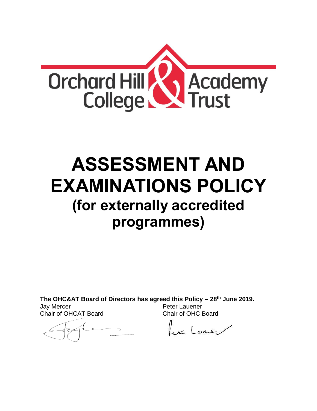

# **ASSESSMENT AND EXAMINATIONS POLICY (for externally accredited programmes)**

**The OHC&AT Board of Directors has agreed this Policy – 28 th June 2019.**

Jay Mercer Chair of OHCAT Board

Peter Lauener Chair of OHC Board

Le Laverez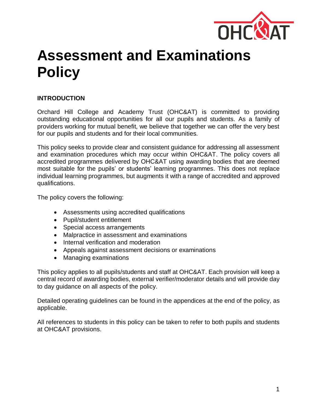

## **Assessment and Examinations Policy**

## **INTRODUCTION**

Orchard Hill College and Academy Trust (OHC&AT) is committed to providing outstanding educational opportunities for all our pupils and students. As a family of providers working for mutual benefit, we believe that together we can offer the very best for our pupils and students and for their local communities.

This policy seeks to provide clear and consistent guidance for addressing all assessment and examination procedures which may occur within OHC&AT. The policy covers all accredited programmes delivered by OHC&AT using awarding bodies that are deemed most suitable for the pupils' or students' learning programmes. This does not replace individual learning programmes, but augments it with a range of accredited and approved qualifications.

The policy covers the following:

- Assessments using accredited qualifications
- Pupil/student entitlement
- Special access arrangements
- Malpractice in assessment and examinations
- Internal verification and moderation
- Appeals against assessment decisions or examinations
- Managing examinations

This policy applies to all pupils/students and staff at OHC&AT. Each provision will keep a central record of awarding bodies, external verifier/moderator details and will provide day to day guidance on all aspects of the policy.

Detailed operating guidelines can be found in the appendices at the end of the policy, as applicable.

All references to students in this policy can be taken to refer to both pupils and students at OHC&AT provisions.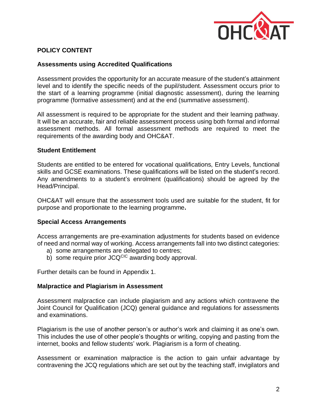

## **POLICY CONTENT**

## **Assessments using Accredited Qualifications**

Assessment provides the opportunity for an accurate measure of the student's attainment level and to identify the specific needs of the pupil/student. Assessment occurs prior to the start of a learning programme (initial diagnostic assessment), during the learning programme (formative assessment) and at the end (summative assessment).

All assessment is required to be appropriate for the student and their learning pathway. It will be an accurate, fair and reliable assessment process using both formal and informal assessment methods. All formal assessment methods are required to meet the requirements of the awarding body and OHC&AT.

#### **Student Entitlement**

Students are entitled to be entered for vocational qualifications, Entry Levels, functional skills and GCSE examinations. These qualifications will be listed on the student's record. Any amendments to a student's enrolment (qualifications) should be agreed by the Head/Principal.

OHC&AT will ensure that the assessment tools used are suitable for the student, fit for purpose and proportionate to the learning programme**.** 

#### **Special Access Arrangements**

Access arrangements are pre-examination adjustments for students based on evidence of need and normal way of working. Access arrangements fall into two distinct categories:

- a) some arrangements are delegated to centres;
- b) some require prior  $JCQ<sup>CIC</sup>$  awarding body approval.

Further details can be found in Appendix 1.

## **Malpractice and Plagiarism in Assessment**

Assessment malpractice can include plagiarism and any actions which contravene the Joint Council for Qualification (JCQ) general guidance and regulations for assessments and examinations.

Plagiarism is the use of another person's or author's work and claiming it as one's own. This includes the use of other people's thoughts or writing, copying and pasting from the internet, books and fellow students' work. Plagiarism is a form of cheating.

Assessment or examination malpractice is the action to gain unfair advantage by contravening the JCQ regulations which are set out by the teaching staff, invigilators and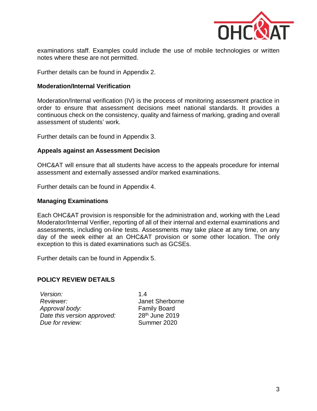

examinations staff. Examples could include the use of mobile technologies or written notes where these are not permitted.

Further details can be found in Appendix 2.

## **Moderation/Internal Verification**

Moderation/Internal verification (IV) is the process of monitoring assessment practice in order to ensure that assessment decisions meet national standards. It provides a continuous check on the consistency, quality and fairness of marking, grading and overall assessment of students' work.

Further details can be found in Appendix 3.

## **Appeals against an Assessment Decision**

OHC&AT will ensure that all students have access to the appeals procedure for internal assessment and externally assessed and/or marked examinations.

Further details can be found in Appendix 4.

#### **Managing Examinations**

Each OHC&AT provision is responsible for the administration and, working with the Lead Moderator/Internal Verifier, reporting of all of their internal and external examinations and assessments, including on-line tests. Assessments may take place at any time, on any day of the week either at an OHC&AT provision or some other location. The only exception to this is dated examinations such as GCSEs.

Further details can be found in Appendix 5.

## **POLICY REVIEW DETAILS**

*Version:* 1.4 *Reviewer:* Janet Sherborne *Approval body:* Family Board *Date this version approved:* 28<sup>th</sup> June 2019 **Due for review:** Summer 2020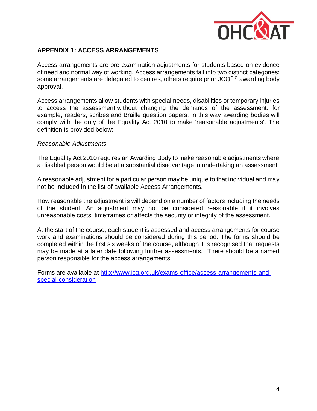

## **APPENDIX 1: ACCESS ARRANGEMENTS**

Access arrangements are pre-examination adjustments for students based on evidence of need and normal way of working. Access arrangements fall into two distinct categories: some arrangements are delegated to centres, others require prior JCQ<sup>CIC</sup> awarding body approval.

Access arrangements allow students with special needs, disabilities or temporary injuries to access the assessment without changing the demands of the assessment: for example, readers, scribes and Braille question papers. In this way awarding bodies will comply with the duty of the Equality Act 2010 to make 'reasonable adjustments'. The definition is provided below:

## *Reasonable Adjustments*

The Equality Act 2010 requires an Awarding Body to make reasonable adjustments where a disabled person would be at a substantial disadvantage in undertaking an assessment.

A reasonable adjustment for a particular person may be unique to that individual and may not be included in the list of available Access Arrangements.

How reasonable the adjustment is will depend on a number of factors including the needs of the student. An adjustment may not be considered reasonable if it involves unreasonable costs, timeframes or affects the security or integrity of the assessment.

At the start of the course, each student is assessed and access arrangements for course work and examinations should be considered during this period. The forms should be completed within the first six weeks of the course, although it is recognised that requests may be made at a later date following further assessments. There should be a named person responsible for the access arrangements.

Forms are available at [http://www.jcq.org.uk/exams-office/access-arrangements-and](http://www.jcq.org.uk/exams-office/access-arrangements-and-special-consideration)[special-consideration](http://www.jcq.org.uk/exams-office/access-arrangements-and-special-consideration)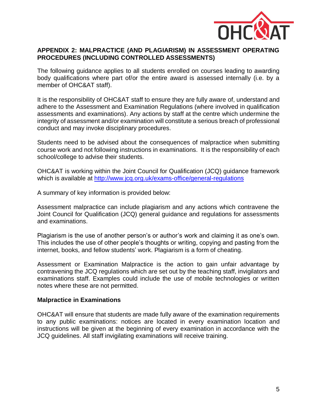

## **APPENDIX 2: MALPRACTICE (AND PLAGIARISM) IN ASSESSMENT OPERATING PROCEDURES (INCLUDING CONTROLLED ASSESSMENTS)**

The following guidance applies to all students enrolled on courses leading to awarding body qualifications where part of/or the entire award is assessed internally (i.e. by a member of OHC&AT staff).

It is the responsibility of OHC&AT staff to ensure they are fully aware of, understand and adhere to the Assessment and Examination Regulations (where involved in qualification assessments and examinations). Any actions by staff at the centre which undermine the integrity of assessment and/or examination will constitute a serious breach of professional conduct and may invoke disciplinary procedures.

Students need to be advised about the consequences of malpractice when submitting course work and not following instructions in examinations. It is the responsibility of each school/college to advise their students.

OHC&AT is working within the Joint Council for Qualification (JCQ) guidance framework which is available at<http://www.jcq.org.uk/exams-office/general-regulations>

A summary of key information is provided below:

Assessment malpractice can include plagiarism and any actions which contravene the Joint Council for Qualification (JCQ) general guidance and regulations for assessments and examinations.

Plagiarism is the use of another person's or author's work and claiming it as one's own. This includes the use of other people's thoughts or writing, copying and pasting from the internet, books, and fellow students' work. Plagiarism is a form of cheating.

Assessment or Examination Malpractice is the action to gain unfair advantage by contravening the JCQ regulations which are set out by the teaching staff, invigilators and examinations staff. Examples could include the use of mobile technologies or written notes where these are not permitted.

## **Malpractice in Examinations**

OHC&AT will ensure that students are made fully aware of the examination requirements to any public examinations: notices are located in every examination location and instructions will be given at the beginning of every examination in accordance with the JCQ guidelines. All staff invigilating examinations will receive training.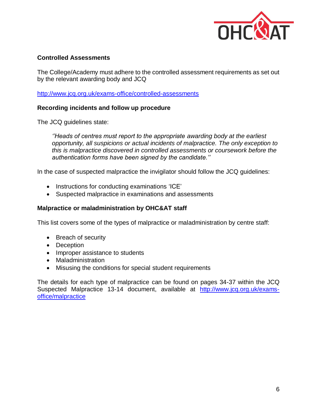

## **Controlled Assessments**

The College/Academy must adhere to the controlled assessment requirements as set out by the relevant awarding body and JCQ

<http://www.jcq.org.uk/exams-office/controlled-assessments>

## **Recording incidents and follow up procedure**

The JCQ guidelines state:

*''Heads of centres must report to the appropriate awarding body at the earliest opportunity, all suspicions or actual incidents of malpractice. The only exception to this is malpractice discovered in controlled assessments or coursework before the authentication forms have been signed by the candidate.''*

In the case of suspected malpractice the invigilator should follow the JCQ guidelines:

- Instructions for conducting examinations 'ICE'
- Suspected malpractice in examinations and assessments

#### **Malpractice or maladministration by OHC&AT staff**

This list covers some of the types of malpractice or maladministration by centre staff:

- Breach of security
- Deception
- Improper assistance to students
- Maladministration
- Misusing the conditions for special student requirements

The details for each type of malpractice can be found on pages 34-37 within the JCQ Suspected Malpractice 13-14 document, available at [http://www.jcq.org.uk/exams](http://www.jcq.org.uk/exams-office/malpractice)[office/malpractice](http://www.jcq.org.uk/exams-office/malpractice)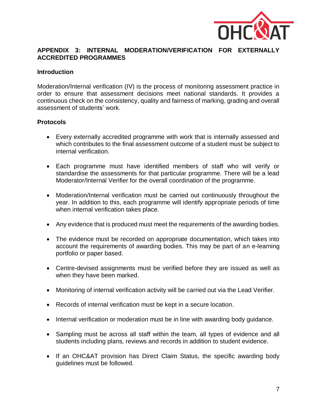

## **APPENDIX 3: INTERNAL MODERATION/VERIFICATION FOR EXTERNALLY ACCREDITED PROGRAMMES**

## **Introduction**

Moderation/Internal verification (IV) is the process of monitoring assessment practice in order to ensure that assessment decisions meet national standards. It provides a continuous check on the consistency, quality and fairness of marking, grading and overall assessment of students' work.

## **Protocols**

- Every externally accredited programme with work that is internally assessed and which contributes to the final assessment outcome of a student must be subject to internal verification.
- Each programme must have identified members of staff who will verify or standardise the assessments for that particular programme. There will be a lead Moderator/Internal Verifier for the overall coordination of the programme.
- Moderation/Internal verification must be carried out continuously throughout the year. In addition to this, each programme will identify appropriate periods of time when internal verification takes place.
- Any evidence that is produced must meet the requirements of the awarding bodies.
- The evidence must be recorded on appropriate documentation, which takes into account the requirements of awarding bodies. This may be part of an e-learning portfolio or paper based.
- Centre-devised assignments must be verified before they are issued as well as when they have been marked.
- Monitoring of internal verification activity will be carried out via the Lead Verifier.
- Records of internal verification must be kept in a secure location.
- Internal verification or moderation must be in line with awarding body guidance.
- Sampling must be across all staff within the team, all types of evidence and all students including plans, reviews and records in addition to student evidence.
- If an OHC&AT provision has Direct Claim Status, the specific awarding body guidelines must be followed.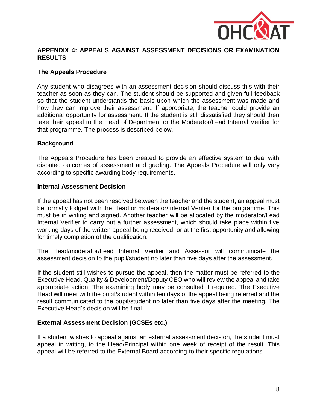

## **APPENDIX 4: APPEALS AGAINST ASSESSMENT DECISIONS OR EXAMINATION RESULTS**

## **The Appeals Procedure**

Any student who disagrees with an assessment decision should discuss this with their teacher as soon as they can. The student should be supported and given full feedback so that the student understands the basis upon which the assessment was made and how they can improve their assessment. If appropriate, the teacher could provide an additional opportunity for assessment. If the student is still dissatisfied they should then take their appeal to the Head of Department or the Moderator/Lead Internal Verifier for that programme. The process is described below.

## **Background**

The Appeals Procedure has been created to provide an effective system to deal with disputed outcomes of assessment and grading. The Appeals Procedure will only vary according to specific awarding body requirements.

## **Internal Assessment Decision**

If the appeal has not been resolved between the teacher and the student, an appeal must be formally lodged with the Head or moderator/Internal Verifier for the programme. This must be in writing and signed. Another teacher will be allocated by the moderator/Lead Internal Verifier to carry out a further assessment, which should take place within five working days of the written appeal being received, or at the first opportunity and allowing for timely completion of the qualification.

The Head/moderator/Lead Internal Verifier and Assessor will communicate the assessment decision to the pupil/student no later than five days after the assessment.

If the student still wishes to pursue the appeal, then the matter must be referred to the Executive Head, Quality & Development/Deputy CEO who will review the appeal and take appropriate action. The examining body may be consulted if required. The Executive Head will meet with the pupil/student within ten days of the appeal being referred and the result communicated to the pupil/student no later than five days after the meeting. The Executive Head's decision will be final.

## **External Assessment Decision (GCSEs etc.)**

If a student wishes to appeal against an external assessment decision, the student must appeal in writing, to the Head/Principal within one week of receipt of the result. This appeal will be referred to the External Board according to their specific regulations.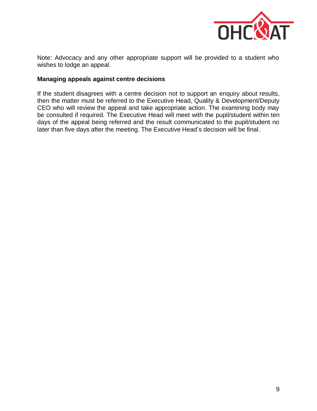

Note: Advocacy and any other appropriate support will be provided to a student who wishes to lodge an appeal.

## **Managing appeals against centre decisions**

If the student disagrees with a centre decision not to support an enquiry about results, then the matter must be referred to the Executive Head, Quality & Development/Deputy CEO who will review the appeal and take appropriate action. The examining body may be consulted if required. The Executive Head will meet with the pupil/student within ten days of the appeal being referred and the result communicated to the pupil/student no later than five days after the meeting. The Executive Head's decision will be final.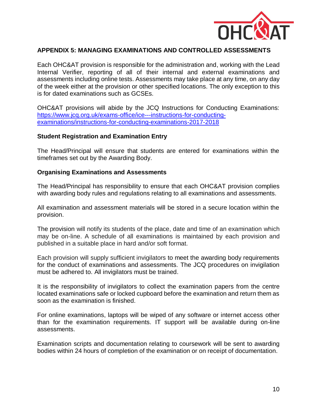

## **APPENDIX 5: MANAGING EXAMINATIONS AND CONTROLLED ASSESSMENTS**

Each OHC&AT provision is responsible for the administration and, working with the Lead Internal Verifier, reporting of all of their internal and external examinations and assessments including online tests. Assessments may take place at any time, on any day of the week either at the provision or other specified locations. The only exception to this is for dated examinations such as GCSEs.

OHC&AT provisions will abide by the JCQ Instructions for Conducting Examinations: [https://www.jcq.org.uk/exams-office/ice---instructions-for-conducting](https://www.jcq.org.uk/exams-office/ice---instructions-for-conducting-examinations/instructions-for-conducting-examinations-2017-2018)[examinations/instructions-for-conducting-examinations-2017-2018](https://www.jcq.org.uk/exams-office/ice---instructions-for-conducting-examinations/instructions-for-conducting-examinations-2017-2018) 

#### **Student Registration and Examination Entry**

The Head/Principal will ensure that students are entered for examinations within the timeframes set out by the Awarding Body.

#### **Organising Examinations and Assessments**

The Head/Principal has responsibility to ensure that each OHC&AT provision complies with awarding body rules and regulations relating to all examinations and assessments.

All examination and assessment materials will be stored in a secure location within the provision.

The provision will notify its students of the place, date and time of an examination which may be on-line. A schedule of all examinations is maintained by each provision and published in a suitable place in hard and/or soft format.

Each provision will supply sufficient invigilators to meet the awarding body requirements for the conduct of examinations and assessments. The JCQ procedures on invigilation must be adhered to. All invigilators must be trained.

It is the responsibility of invigilators to collect the examination papers from the centre located examinations safe or locked cupboard before the examination and return them as soon as the examination is finished.

For online examinations, laptops will be wiped of any software or internet access other than for the examination requirements. IT support will be available during on-line assessments.

Examination scripts and documentation relating to coursework will be sent to awarding bodies within 24 hours of completion of the examination or on receipt of documentation.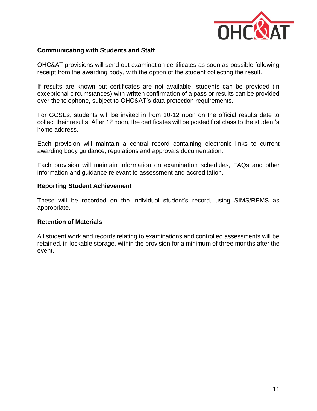

## **Communicating with Students and Staff**

OHC&AT provisions will send out examination certificates as soon as possible following receipt from the awarding body, with the option of the student collecting the result.

If results are known but certificates are not available, students can be provided (in exceptional circumstances) with written confirmation of a pass or results can be provided over the telephone, subject to OHC&AT's data protection requirements.

For GCSEs, students will be invited in from 10-12 noon on the official results date to collect their results. After 12 noon, the certificates will be posted first class to the student's home address.

Each provision will maintain a central record containing electronic links to current awarding body guidance, regulations and approvals documentation.

Each provision will maintain information on examination schedules, FAQs and other information and guidance relevant to assessment and accreditation.

#### **Reporting Student Achievement**

These will be recorded on the individual student's record, using SIMS/REMS as appropriate.

#### **Retention of Materials**

All student work and records relating to examinations and controlled assessments will be retained, in lockable storage, within the provision for a minimum of three months after the event.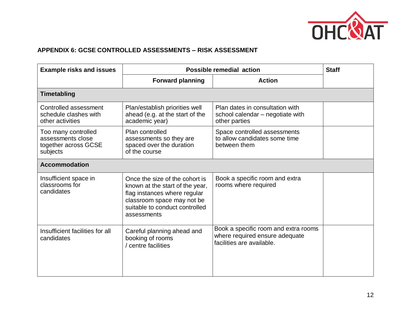

## **APPENDIX 6: GCSE CONTROLLED ASSESSMENTS – RISK ASSESSMENT**

| <b>Example risks and issues</b>                                              | Possible remedial action                                                                                                                                                         |                                                                                                     | <b>Staff</b> |
|------------------------------------------------------------------------------|----------------------------------------------------------------------------------------------------------------------------------------------------------------------------------|-----------------------------------------------------------------------------------------------------|--------------|
|                                                                              | <b>Forward planning</b>                                                                                                                                                          | <b>Action</b>                                                                                       |              |
| <b>Timetabling</b>                                                           |                                                                                                                                                                                  |                                                                                                     |              |
| Controlled assessment<br>schedule clashes with<br>other activities           | Plan/establish priorities well<br>ahead (e.g. at the start of the<br>academic year)                                                                                              | Plan dates in consultation with<br>school calendar - negotiate with<br>other parties                |              |
| Too many controlled<br>assessments close<br>together across GCSE<br>subjects | Plan controlled<br>assessments so they are<br>spaced over the duration<br>of the course                                                                                          | Space controlled assessments<br>to allow candidates some time<br>between them                       |              |
| <b>Accommodation</b>                                                         |                                                                                                                                                                                  |                                                                                                     |              |
| Insufficient space in<br>classrooms for<br>candidates                        | Once the size of the cohort is<br>known at the start of the year,<br>flag instances where regular<br>classroom space may not be<br>suitable to conduct controlled<br>assessments | Book a specific room and extra<br>rooms where required                                              |              |
| Insufficient facilities for all<br>candidates                                | Careful planning ahead and<br>booking of rooms<br>/ centre facilities                                                                                                            | Book a specific room and extra rooms<br>where required ensure adequate<br>facilities are available. |              |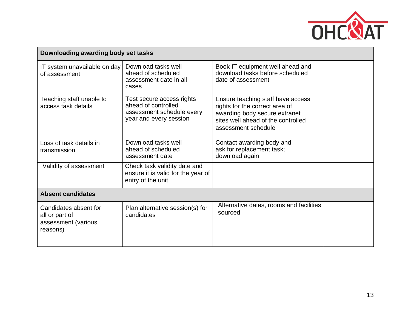

| Downloading awarding body set tasks                                        |                                                                                                         |                                                                                                                                                                   |  |
|----------------------------------------------------------------------------|---------------------------------------------------------------------------------------------------------|-------------------------------------------------------------------------------------------------------------------------------------------------------------------|--|
| IT system unavailable on day<br>of assessment                              | Download tasks well<br>ahead of scheduled<br>assessment date in all<br>cases                            | Book IT equipment well ahead and<br>download tasks before scheduled<br>date of assessment                                                                         |  |
| Teaching staff unable to<br>access task details                            | Test secure access rights<br>ahead of controlled<br>assessment schedule every<br>year and every session | Ensure teaching staff have access<br>rights for the correct area of<br>awarding body secure extranet<br>sites well ahead of the controlled<br>assessment schedule |  |
| Loss of task details in<br>transmission                                    | Download tasks well<br>ahead of scheduled<br>assessment date                                            | Contact awarding body and<br>ask for replacement task;<br>download again                                                                                          |  |
| Validity of assessment                                                     | Check task validity date and<br>ensure it is valid for the year of<br>entry of the unit                 |                                                                                                                                                                   |  |
| <b>Absent candidates</b>                                                   |                                                                                                         |                                                                                                                                                                   |  |
| Candidates absent for<br>all or part of<br>assessment (various<br>reasons) | Plan alternative session(s) for<br>candidates                                                           | Alternative dates, rooms and facilities<br>sourced                                                                                                                |  |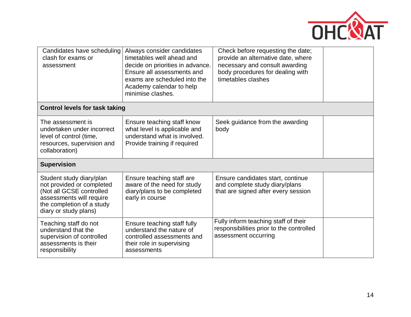

| Candidates have scheduling<br>clash for exams or<br>assessment                                                                                                      | Always consider candidates<br>timetables well ahead and<br>decide on priorities in advance.<br>Ensure all assessments and<br>exams are scheduled into the<br>Academy calendar to help<br>minimise clashes. | Check before requesting the date;<br>provide an alternative date, where<br>necessary and consult awarding<br>body procedures for dealing with<br>timetables clashes |  |
|---------------------------------------------------------------------------------------------------------------------------------------------------------------------|------------------------------------------------------------------------------------------------------------------------------------------------------------------------------------------------------------|---------------------------------------------------------------------------------------------------------------------------------------------------------------------|--|
| <b>Control levels for task taking</b>                                                                                                                               |                                                                                                                                                                                                            |                                                                                                                                                                     |  |
| The assessment is<br>undertaken under incorrect<br>level of control (time,<br>resources, supervision and<br>collaboration)                                          | Ensure teaching staff know<br>what level is applicable and<br>understand what is involved.<br>Provide training if required                                                                                 | Seek guidance from the awarding<br>body                                                                                                                             |  |
| <b>Supervision</b>                                                                                                                                                  |                                                                                                                                                                                                            |                                                                                                                                                                     |  |
| Student study diary/plan<br>not provided or completed<br>(Not all GCSE controlled<br>assessments will require<br>the completion of a study<br>diary or study plans) | Ensure teaching staff are<br>aware of the need for study<br>diary/plans to be completed<br>early in course                                                                                                 | Ensure candidates start, continue<br>and complete study diary/plans<br>that are signed after every session                                                          |  |
| Teaching staff do not<br>understand that the<br>supervision of controlled<br>assessments is their<br>responsibility                                                 | Ensure teaching staff fully<br>understand the nature of<br>controlled assessments and<br>their role in supervising<br>assessments                                                                          | Fully inform teaching staff of their<br>responsibilities prior to the controlled<br>assessment occurring                                                            |  |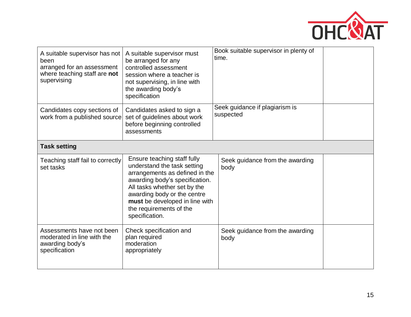

| A suitable supervisor has not<br>been<br>arranged for an assessment<br>where teaching staff are not<br>supervising | A suitable supervisor must<br>be arranged for any<br>controlled assessment<br>session where a teacher is<br>not supervising, in line with<br>the awarding body's<br>specification                                                                                            | Book suitable supervisor in plenty of<br>time. |  |  |
|--------------------------------------------------------------------------------------------------------------------|------------------------------------------------------------------------------------------------------------------------------------------------------------------------------------------------------------------------------------------------------------------------------|------------------------------------------------|--|--|
| Candidates copy sections of<br>work from a published source                                                        | Candidates asked to sign a<br>set of guidelines about work<br>before beginning controlled<br>assessments                                                                                                                                                                     | Seek guidance if plagiarism is<br>suspected    |  |  |
| <b>Task setting</b>                                                                                                |                                                                                                                                                                                                                                                                              |                                                |  |  |
| Teaching staff fail to correctly<br>set tasks                                                                      | Ensure teaching staff fully<br>understand the task setting<br>arrangements as defined in the<br>awarding body's specification.<br>All tasks whether set by the<br>awarding body or the centre<br>must be developed in line with<br>the requirements of the<br>specification. | Seek guidance from the awarding<br>body        |  |  |
| Assessments have not been<br>moderated in line with the<br>awarding body's<br>specification                        | Check specification and<br>plan required<br>moderation<br>appropriately                                                                                                                                                                                                      | Seek guidance from the awarding<br>body        |  |  |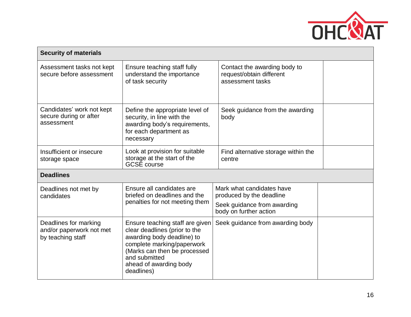

| <b>Security of materials</b>                                           |                                                                                                                                                                                                                       |                                                                              |  |
|------------------------------------------------------------------------|-----------------------------------------------------------------------------------------------------------------------------------------------------------------------------------------------------------------------|------------------------------------------------------------------------------|--|
| Assessment tasks not kept<br>secure before assessment                  | Ensure teaching staff fully<br>understand the importance<br>of task security                                                                                                                                          | Contact the awarding body to<br>request/obtain different<br>assessment tasks |  |
| Candidates' work not kept<br>secure during or after<br>assessment      | Define the appropriate level of<br>security, in line with the<br>awarding body's requirements,<br>for each department as<br>necessary                                                                                 | Seek guidance from the awarding<br>body                                      |  |
| Insufficient or insecure<br>storage space                              | Look at provision for suitable<br>storage at the start of the<br><b>GCSE</b> course                                                                                                                                   | Find alternative storage within the<br>centre                                |  |
| <b>Deadlines</b>                                                       |                                                                                                                                                                                                                       |                                                                              |  |
| Deadlines not met by<br>candidates                                     | Ensure all candidates are<br>briefed on deadlines and the<br>penalties for not meeting them                                                                                                                           | Mark what candidates have<br>produced by the deadline                        |  |
|                                                                        |                                                                                                                                                                                                                       | Seek guidance from awarding<br>body on further action                        |  |
| Deadlines for marking<br>and/or paperwork not met<br>by teaching staff | Ensure teaching staff are given<br>clear deadlines (prior to the<br>awarding body deadline) to<br>complete marking/paperwork<br>(Marks can then be processed<br>and submitted<br>ahead of awarding body<br>deadlines) | Seek guidance from awarding body                                             |  |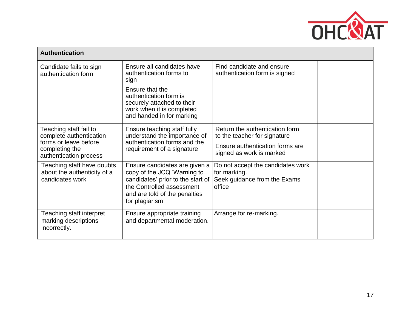

| <b>Authentication</b>                                                                                                  |                                                                                                                                                                                   |                                                                                             |  |
|------------------------------------------------------------------------------------------------------------------------|-----------------------------------------------------------------------------------------------------------------------------------------------------------------------------------|---------------------------------------------------------------------------------------------|--|
| Candidate fails to sign<br>authentication form                                                                         | Ensure all candidates have<br>authentication forms to<br>sign                                                                                                                     | Find candidate and ensure<br>authentication form is signed                                  |  |
|                                                                                                                        | Ensure that the<br>authentication form is<br>securely attached to their<br>work when it is completed<br>and handed in for marking                                                 |                                                                                             |  |
| Teaching staff fail to<br>complete authentication<br>forms or leave before<br>completing the<br>authentication process | Ensure teaching staff fully<br>understand the importance of<br>authentication forms and the<br>requirement of a signature                                                         | Return the authentication form<br>to the teacher for signature                              |  |
|                                                                                                                        |                                                                                                                                                                                   | Ensure authentication forms are<br>signed as work is marked                                 |  |
| Teaching staff have doubts<br>about the authenticity of a<br>candidates work                                           | Ensure candidates are given a<br>copy of the JCQ 'Warning to<br>candidates' prior to the start of<br>the Controlled assessment<br>and are told of the penalties<br>for plagiarism | Do not accept the candidates work<br>for marking.<br>Seek guidance from the Exams<br>office |  |
| Teaching staff interpret<br>marking descriptions<br>incorrectly.                                                       | Ensure appropriate training<br>and departmental moderation.                                                                                                                       | Arrange for re-marking.                                                                     |  |